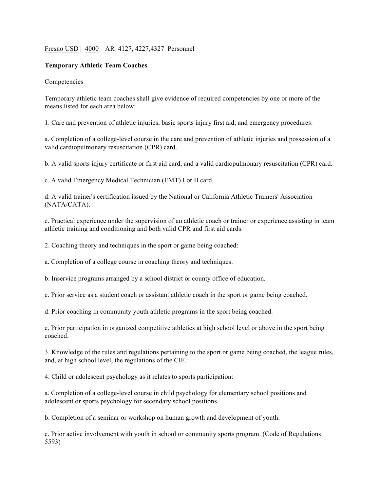## Fresno USD | 4000 | AR 4127, 4227,4327 Personnel

## **Temporary Athletic Team Coaches**

## Competencies

Temporary athletic team coaches shall give evidence of required competencies by one or more of the means listed for each area below:

1. Care and prevention of athletic injuries, basic sports injury first aid, and emergency procedures:

a. Completion of a college-level course in the care and prevention of athletic injuries and possession of a valid cardiopulmonary resuscitation (CPR) card.

b. A valid sports injury certificate or first aid card, and a valid cardiopulmonary resuscitation (CPR) card.

c. A valid Emergency Medical Technician (EMT) I or II card.

d. A valid trainer's certification issued by the National or California Athletic Trainers' Association (NATA/CATA).

e. Practical experience under the supervision of an athletic coach or trainer or experience assisting in team athletic training and conditioning and both valid CPR and first aid cards.

2. Coaching theory and techniques in the sport or game being coached:

a. Completion of a college course in coaching theory and techniques.

b. Inservice programs arranged by a school district or county office of education.

c. Prior service as a student coach or assistant athletic coach in the sport or game being coached.

d. Prior coaching in community youth athletic programs in the sport being coached.

e. Prior participation in organized competitive athletics at high school level or above in the sport being coached.

3. Knowledge of the rules and regulations pertaining to the sport or game being coached, the league rules, and, at high school level, the regulations of the CIF.

4. Child or adolescent psychology as it relates to sports participation:

a. Completion of a college-level course in child psychology for elementary school positions and adolescent or sports psychology for secondary school positions.

b. Completion of a seminar or workshop on human growth and development of youth.

c. Prior active involvement with youth in school or community sports program. (Code of Regulations 5593)